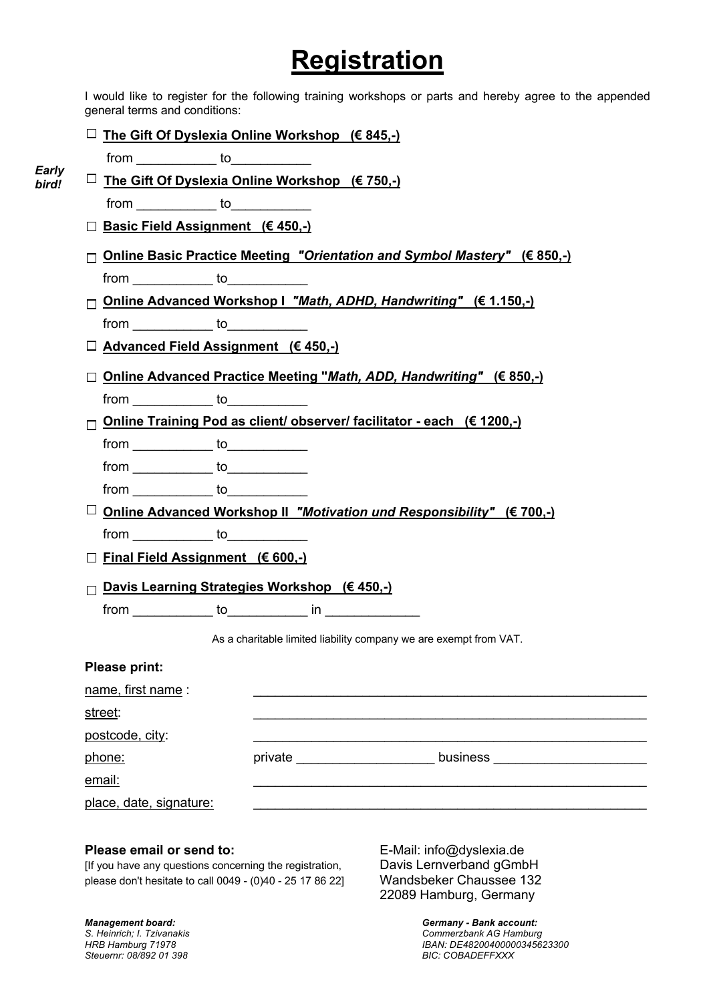# **Registration**

I would like to register for the following training workshops or parts and hereby agree to the appended general terms and conditions:

**The Gift Of Dyslexia Online Workshop (€ 845,-)**

from to to

- **F The Gift Of Dyslexia Online Workshop (€ 750,-)** from to *Early bird!*
	- **Basic Field Assignment (€ 450,-)**
	- **Online Basic Practice Meeting** *"Orientation and Symbol Mastery"* **(€ 850,-)** from to
	- **Online Advanced Workshop I** *"Math, ADHD, Handwriting"* **(€ 1.150,-)** from to to
	- **Advanced Field Assignment (€ 450,-)**
	- **Online Advanced Practice Meeting "***Math, ADD, Handwriting"* **(€ 850,-)** from to to
	- **Online Training Pod as client/ observer/ facilitator - each (€ 1200,-)**

| <br> |
|------|
|      |

- $from \begin{array}{ccc} \hline \text{from} & \text{to} \end{array}$
- from to to
- **Online Advanced Workshop II** *"Motivation und Responsibility"* **(€ 700,-)** from to to
- **Final Field Assignment (€ 600,-)**
- **Davis Learning Strategies Workshop (€ 450,-)**
	- $from$   $\begin{tabular}{|c|c|c|c|c|} \hline & \multicolumn{3}{|c|}{i} & \multicolumn{3}{|c|}{i} & \multicolumn{3}{|c|}{i} & \multicolumn{3}{|c|}{i} & \multicolumn{3}{|c|}{i} & \multicolumn{3}{|c|}{i} & \multicolumn{3}{|c|}{i} & \multicolumn{3}{|c|}{i} & \multicolumn{3}{|c|}{i} & \multicolumn{3}{|c|}{i} & \multicolumn{3}{|c|}{i} & \multicolumn{3}{|c|}{i} & \multicolumn{3}{|c|}{i} & \multicolumn{3}{|c|}{i$

As a charitable limited liability company we are exempt from VAT.

| <b>Please print:</b>    |         |          |  |
|-------------------------|---------|----------|--|
| name, first name :      |         |          |  |
| street:                 |         |          |  |
| postcode, city:         |         |          |  |
| phone:                  | private | business |  |
| email:                  |         |          |  |
| place, date, signature: |         |          |  |

# **Please email or send to:** E-Mail: info@dyslexia.de

[If you have any questions concerning the registration, Davis Lernverband gGmbH please don't hesitate to call 0049 - (0)40 - 25 17 86 22] Wandsbeker Chaussee 132

22089 Hamburg, Germany

*Steuernr: 08/892 01 398* 

*Management board: Germany - Bank account: S. Heinrich; I. Tzivanakis Commerzbank AG Hamburg HRB Hamburg 71978 IBAN: DE48200400000345623300*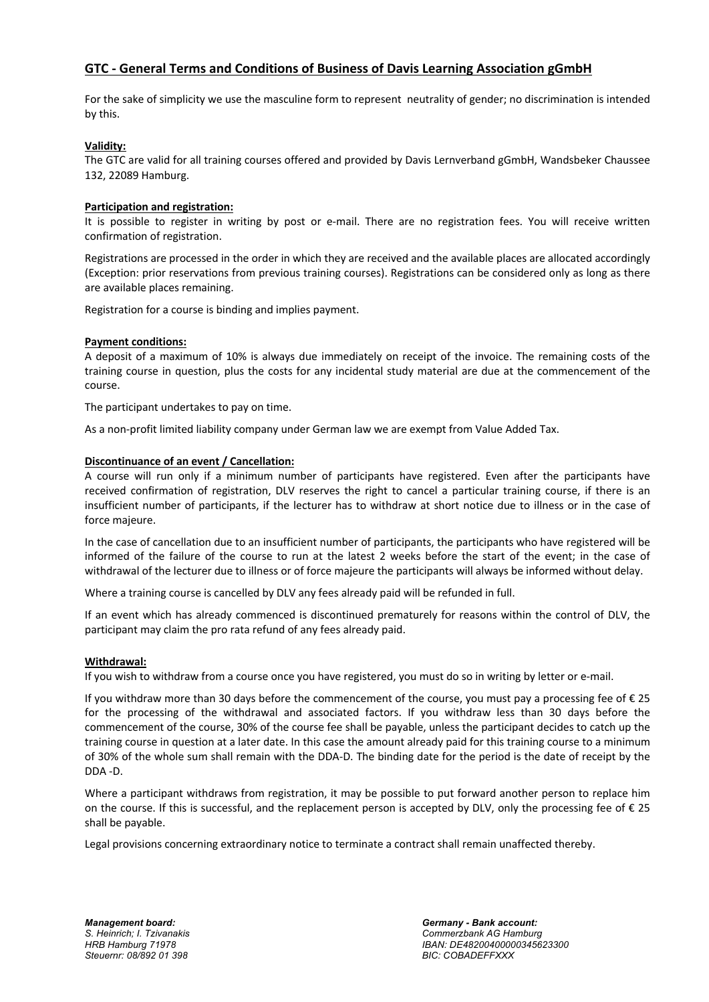# **GTC - General Terms and Conditions of Business of Davis Learning Association gGmbH**

For the sake of simplicity we use the masculine form to represent neutrality of gender; no discrimination is intended by this.

# **Validity:**

The GTC are valid for all training courses offered and provided by Davis Lernverband gGmbH, Wandsbeker Chaussee 132, 22089 Hamburg.

#### **Participation and registration:**

It is possible to register in writing by post or e-mail. There are no registration fees. You will receive written confirmation of registration.

Registrations are processed in the order in which they are received and the available places are allocated accordingly (Exception: prior reservations from previous training courses). Registrations can be considered only as long as there are available places remaining.

Registration for a course is binding and implies payment.

#### **Payment conditions:**

A deposit of a maximum of 10% is always due immediately on receipt of the invoice. The remaining costs of the training course in question, plus the costs for any incidental study material are due at the commencement of the course.

The participant undertakes to pay on time.

As a non-profit limited liability company under German law we are exempt from Value Added Tax.

#### **Discontinuance of an event / Cancellation:**

A course will run only if a minimum number of participants have registered. Even after the participants have received confirmation of registration, DLV reserves the right to cancel a particular training course, if there is an insufficient number of participants, if the lecturer has to withdraw at short notice due to illness or in the case of force majeure.

In the case of cancellation due to an insufficient number of participants, the participants who have registered will be informed of the failure of the course to run at the latest 2 weeks before the start of the event; in the case of withdrawal of the lecturer due to illness or of force majeure the participants will always be informed without delay.

Where a training course is cancelled by DLV any fees already paid will be refunded in full.

If an event which has already commenced is discontinued prematurely for reasons within the control of DLV, the participant may claim the pro rata refund of any fees already paid.

#### **Withdrawal:**

If you wish to withdraw from a course once you have registered, you must do so in writing by letter or e-mail.

If you withdraw more than 30 days before the commencement of the course, you must pay a processing fee of € 25 for the processing of the withdrawal and associated factors. If you withdraw less than 30 days before the commencement of the course, 30% of the course fee shall be payable, unless the participant decides to catch up the training course in question at a later date. In this case the amount already paid for this training course to a minimum of 30% of the whole sum shall remain with the DDA-D. The binding date for the period is the date of receipt by the DDA -D.

Where a participant withdraws from registration, it may be possible to put forward another person to replace him on the course. If this is successful, and the replacement person is accepted by DLV, only the processing fee of  $\epsilon$  25 shall be payable.

Legal provisions concerning extraordinary notice to terminate a contract shall remain unaffected thereby.

*S. Heinrich; I. Tzivanakis Commerzbank AG Hamburg HRB Hamburg 71978 IBAN: DE48200400000345623300*